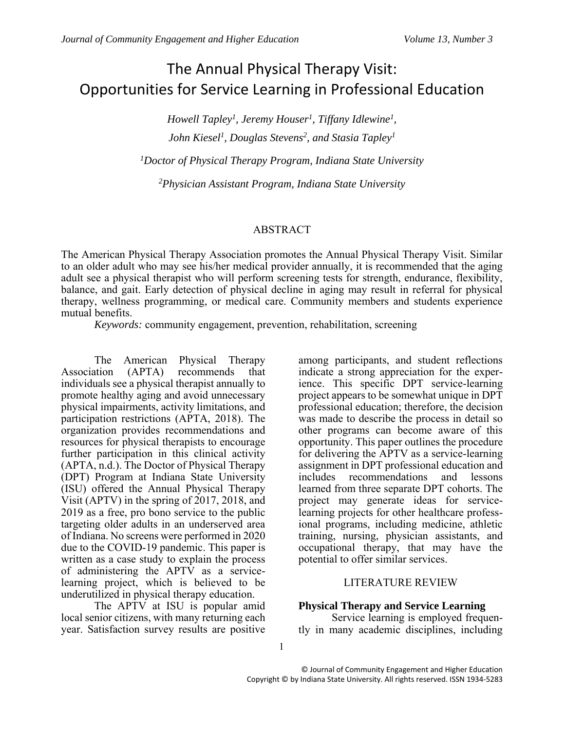# The Annual Physical Therapy Visit: Opportunities for Service Learning in Professional Education

*Howell Tapley<sup>1</sup> , Jeremy Houser<sup>1</sup> , Tiffany Idlewine<sup>1</sup> , John Kiesel<sup>1</sup> , Douglas Stevens<sup>2</sup> , and Stasia Tapley<sup>1</sup>*

*<sup>1</sup>Doctor of Physical Therapy Program, Indiana State University*

*<sup>2</sup>Physician Assistant Program, Indiana State University*

# ABSTRACT

The American Physical Therapy Association promotes the Annual Physical Therapy Visit. Similar to an older adult who may see his/her medical provider annually, it is recommended that the aging adult see a physical therapist who will perform screening tests for strength, endurance, flexibility, balance, and gait. Early detection of physical decline in aging may result in referral for physical therapy, wellness programming, or medical care. Community members and students experience mutual benefits.

*Keywords:* community engagement, prevention, rehabilitation, screening

The American Physical Therapy Association (APTA) recommends that individuals see a physical therapist annually to promote healthy aging and avoid unnecessary physical impairments, activity limitations, and participation restrictions (APTA, 2018). The organization provides recommendations and resources for physical therapists to encourage further participation in this clinical activity (APTA, n.d.). The Doctor of Physical Therapy (DPT) Program at Indiana State University (ISU) offered the Annual Physical Therapy Visit (APTV) in the spring of 2017, 2018, and 2019 as a free, pro bono service to the public targeting older adults in an underserved area of Indiana. No screens were performed in 2020 due to the COVID-19 pandemic. This paper is written as a case study to explain the process of administering the APTV as a servicelearning project, which is believed to be underutilized in physical therapy education.

The APTV at ISU is popular amid local senior citizens, with many returning each year. Satisfaction survey results are positive

among participants, and student reflections indicate a strong appreciation for the experience. This specific DPT service-learning project appears to be somewhat unique in DPT professional education; therefore, the decision was made to describe the process in detail so other programs can become aware of this opportunity. This paper outlines the procedure for delivering the APTV as a service-learning assignment in DPT professional education and includes recommendations and lessons learned from three separate DPT cohorts. The project may generate ideas for servicelearning projects for other healthcare professional programs, including medicine, athletic training, nursing, physician assistants, and occupational therapy, that may have the potential to offer similar services.

## LITERATURE REVIEW

## **Physical Therapy and Service Learning**

Service learning is employed frequently in many academic disciplines, including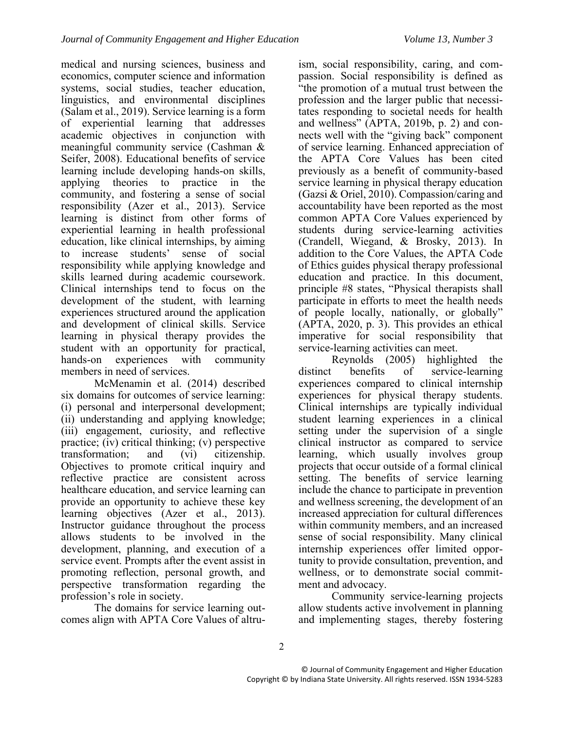medical and nursing sciences, business and economics, computer science and information systems, social studies, teacher education, linguistics, and environmental disciplines (Salam et al., 2019). Service learning is a form of experiential learning that addresses academic objectives in conjunction with meaningful community service (Cashman & Seifer, 2008). Educational benefits of service learning include developing hands-on skills, applying theories to practice in the community, and fostering a sense of social responsibility (Azer et al., 2013). Service learning is distinct from other forms of experiential learning in health professional education, like clinical internships, by aiming to increase students' sense of social responsibility while applying knowledge and skills learned during academic coursework. Clinical internships tend to focus on the development of the student, with learning experiences structured around the application and development of clinical skills. Service learning in physical therapy provides the student with an opportunity for practical, hands-on experiences with community members in need of services.

McMenamin et al. (2014) described six domains for outcomes of service learning: (i) personal and interpersonal development; (ii) understanding and applying knowledge; (iii) engagement, curiosity, and reflective practice; (iv) critical thinking; (v) perspective transformation; and (vi) citizenship. Objectives to promote critical inquiry and reflective practice are consistent across healthcare education, and service learning can provide an opportunity to achieve these key learning objectives (Azer et al., 2013). Instructor guidance throughout the process allows students to be involved in the development, planning, and execution of a service event. Prompts after the event assist in promoting reflection, personal growth, and perspective transformation regarding the profession's role in society.

The domains for service learning outcomes align with APTA Core Values of altru-

ism, social responsibility, caring, and compassion. Social responsibility is defined as "the promotion of a mutual trust between the profession and the larger public that necessitates responding to societal needs for health and wellness" (APTA, 2019b, p. 2) and connects well with the "giving back" component of service learning. Enhanced appreciation of the APTA Core Values has been cited previously as a benefit of community-based service learning in physical therapy education (Gazsi & Oriel, 2010). Compassion/caring and accountability have been reported as the most common APTA Core Values experienced by students during service-learning activities (Crandell, Wiegand, & Brosky, 2013). In addition to the Core Values, the APTA Code of Ethics guides physical therapy professional education and practice. In this document, principle #8 states, "Physical therapists shall participate in efforts to meet the health needs of people locally, nationally, or globally" (APTA, 2020, p. 3). This provides an ethical imperative for social responsibility that service-learning activities can meet.

Reynolds (2005) highlighted the distinct benefits of service-learning experiences compared to clinical internship experiences for physical therapy students. Clinical internships are typically individual student learning experiences in a clinical setting under the supervision of a single clinical instructor as compared to service learning, which usually involves group projects that occur outside of a formal clinical setting. The benefits of service learning include the chance to participate in prevention and wellness screening, the development of an increased appreciation for cultural differences within community members, and an increased sense of social responsibility. Many clinical internship experiences offer limited opportunity to provide consultation, prevention, and wellness, or to demonstrate social commitment and advocacy.

Community service-learning projects allow students active involvement in planning and implementing stages, thereby fostering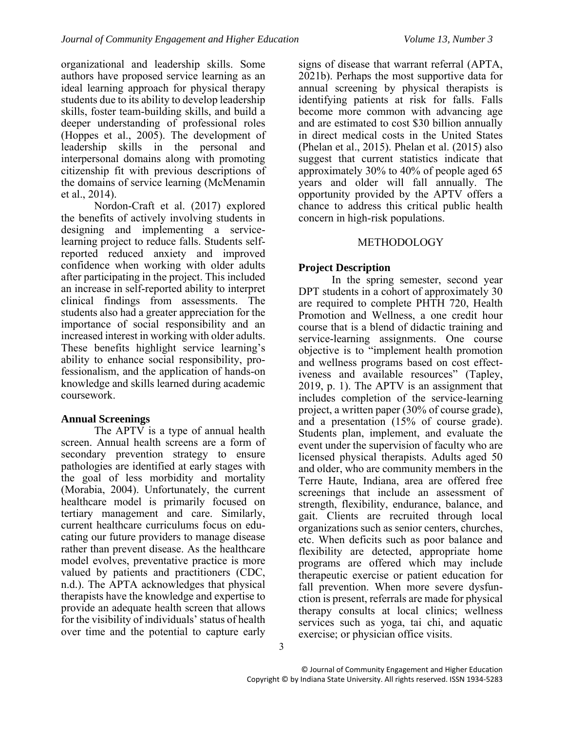organizational and leadership skills. Some authors have proposed service learning as an ideal learning approach for physical therapy students due to its ability to develop leadership skills, foster team-building skills, and build a deeper understanding of professional roles (Hoppes et al., 2005). The development of leadership skills in the personal and interpersonal domains along with promoting citizenship fit with previous descriptions of the domains of service learning (McMenamin et al., 2014).

Nordon-Craft et al. (2017) explored the benefits of actively involving students in designing and implementing a servicelearning project to reduce falls. Students selfreported reduced anxiety and improved confidence when working with older adults after participating in the project. This included an increase in self-reported ability to interpret clinical findings from assessments. The students also had a greater appreciation for the importance of social responsibility and an increased interest in working with older adults. These benefits highlight service learning's ability to enhance social responsibility, professionalism, and the application of hands-on knowledge and skills learned during academic coursework.

## **Annual Screenings**

The APTV is a type of annual health screen. Annual health screens are a form of secondary prevention strategy to ensure pathologies are identified at early stages with the goal of less morbidity and mortality (Morabia, 2004). Unfortunately, the current healthcare model is primarily focused on tertiary management and care. Similarly, current healthcare curriculums focus on educating our future providers to manage disease rather than prevent disease. As the healthcare model evolves, preventative practice is more valued by patients and practitioners (CDC, n.d.). The APTA acknowledges that physical therapists have the knowledge and expertise to provide an adequate health screen that allows for the visibility of individuals' status of health over time and the potential to capture early

signs of disease that warrant referral (APTA, 2021b). Perhaps the most supportive data for annual screening by physical therapists is identifying patients at risk for falls. Falls become more common with advancing age and are estimated to cost \$30 billion annually in direct medical costs in the United States (Phelan et al., 2015). Phelan et al. (2015) also suggest that current statistics indicate that approximately 30% to 40% of people aged 65 years and older will fall annually. The opportunity provided by the APTV offers a chance to address this critical public health concern in high-risk populations.

## METHODOLOGY

## **Project Description**

In the spring semester, second year DPT students in a cohort of approximately 30 are required to complete PHTH 720, Health Promotion and Wellness, a one credit hour course that is a blend of didactic training and service-learning assignments. One course objective is to "implement health promotion and wellness programs based on cost effectiveness and available resources" (Tapley, 2019, p. 1). The APTV is an assignment that includes completion of the service-learning project, a written paper (30% of course grade), and a presentation (15% of course grade). Students plan, implement, and evaluate the event under the supervision of faculty who are licensed physical therapists. Adults aged 50 and older, who are community members in the Terre Haute, Indiana, area are offered free screenings that include an assessment of strength, flexibility, endurance, balance, and gait. Clients are recruited through local organizations such as senior centers, churches, etc. When deficits such as poor balance and flexibility are detected, appropriate home programs are offered which may include therapeutic exercise or patient education for fall prevention. When more severe dysfunction is present, referrals are made for physical therapy consults at local clinics; wellness services such as yoga, tai chi, and aquatic exercise; or physician office visits.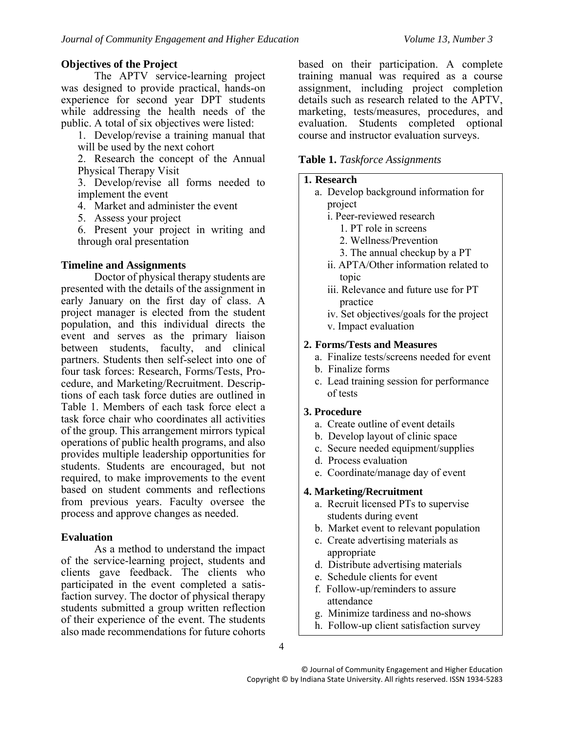## **Objectives of the Project**

The APTV service-learning project was designed to provide practical, hands-on experience for second year DPT students while addressing the health needs of the public. A total of six objectives were listed:

1. Develop/revise a training manual that will be used by the next cohort

2. Research the concept of the Annual Physical Therapy Visit

3. Develop/revise all forms needed to implement the event

4. Market and administer the event

5. Assess your project

6. Present your project in writing and through oral presentation

## **Timeline and Assignments**

Doctor of physical therapy students are presented with the details of the assignment in early January on the first day of class. A project manager is elected from the student population, and this individual directs the event and serves as the primary liaison between students, faculty, and clinical partners. Students then self-select into one of four task forces: Research, Forms/Tests, Procedure, and Marketing/Recruitment. Descriptions of each task force duties are outlined in Table 1. Members of each task force elect a task force chair who coordinates all activities of the group. This arrangement mirrors typical operations of public health programs, and also provides multiple leadership opportunities for students. Students are encouraged, but not required, to make improvements to the event based on student comments and reflections from previous years. Faculty oversee the process and approve changes as needed.

## **Evaluation**

As a method to understand the impact of the service-learning project, students and clients gave feedback. The clients who participated in the event completed a satisfaction survey. The doctor of physical therapy students submitted a group written reflection of their experience of the event. The students also made recommendations for future cohorts

based on their participation. A complete training manual was required as a course assignment, including project completion details such as research related to the APTV, marketing, tests/measures, procedures, and evaluation. Students completed optional course and instructor evaluation surveys.

#### **Table 1.** *Taskforce Assignments*

#### **1. Research**

- a. Develop background information for project
	- i. Peer-reviewed research
		- 1. PT role in screens
		- 2. Wellness/Prevention
		- 3. The annual checkup by a PT
	- ii. APTA/Other information related to topic
	- iii. Relevance and future use for PT practice
	- iv. Set objectives/goals for the project v. Impact evaluation

#### **2. Forms/Tests and Measures**

- a. Finalize tests/screens needed for event
- b. Finalize forms
- c. Lead training session for performance of tests

#### **3. Procedure**

- a. Create outline of event details
- b. Develop layout of clinic space
- c. Secure needed equipment/supplies
- d. Process evaluation
- e. Coordinate/manage day of event

## **4. Marketing/Recruitment**

- a. Recruit licensed PTs to supervise students during event
- b. Market event to relevant population
- c. Create advertising materials as appropriate
- d. Distribute advertising materials
- e. Schedule clients for event
- f. Follow-up/reminders to assure attendance
- g. Minimize tardiness and no-shows
- h. Follow-up client satisfaction survey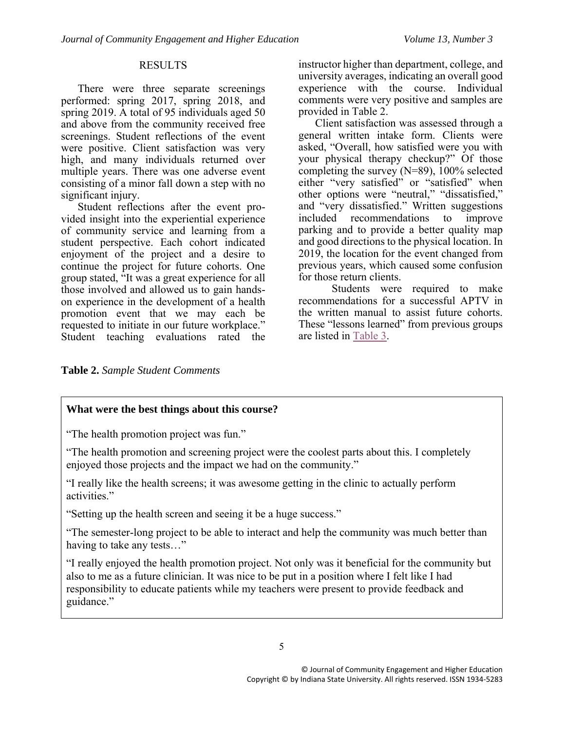#### RESULTS

There were three separate screenings performed: spring 2017, spring 2018, and spring 2019. A total of 95 individuals aged 50 and above from the community received free screenings. Student reflections of the event were positive. Client satisfaction was very high, and many individuals returned over multiple years. There was one adverse event consisting of a minor fall down a step with no significant injury.

Student reflections after the event provided insight into the experiential experience of community service and learning from a student perspective. Each cohort indicated enjoyment of the project and a desire to continue the project for future cohorts. One group stated, "It was a great experience for all those involved and allowed us to gain handson experience in the development of a health promotion event that we may each be requested to initiate in our future workplace." Student teaching evaluations rated the

instructor higher than department, college, and university averages, indicating an overall good experience with the course. Individual comments were very positive and samples are provided in Table 2.

Client satisfaction was assessed through a general written intake form. Clients were asked, "Overall, how satisfied were you with your physical therapy checkup?" Of those completing the survey (N=89), 100% selected either "very satisfied" or "satisfied" when other options were "neutral," "dissatisfied," and "very dissatisfied." Written suggestions<br>included recommendations to improve included recommendations parking and to provide a better quality map and good directions to the physical location. In 2019, the location for the event changed from previous years, which caused some confusion for those return clients.

Students were required to make recommendations for a successful APTV in the written manual to assist future cohorts. These "lessons learned" from previous groups are listed in [Table 3.](#page-5-0)

**Table 2.** *Sample Student Comments*

## **What were the best things about this course?**

"The health promotion project was fun."

"The health promotion and screening project were the coolest parts about this. I completely enjoyed those projects and the impact we had on the community."

"I really like the health screens; it was awesome getting in the clinic to actually perform activities."

"Setting up the health screen and seeing it be a huge success."

"The semester-long project to be able to interact and help the community was much better than having to take any tests…"

"I really enjoyed the health promotion project. Not only was it beneficial for the community but also to me as a future clinician. It was nice to be put in a position where I felt like I had responsibility to educate patients while my teachers were present to provide feedback and guidance."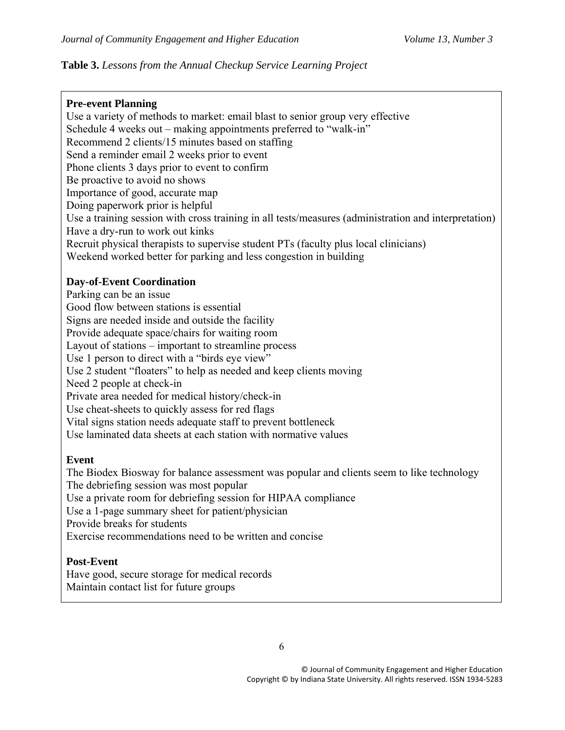# <span id="page-5-0"></span>**Table 3.** *Lessons from the Annual Checkup Service Learning Project*

## **Pre-event Planning**

Use a variety of methods to market: email blast to senior group very effective Schedule 4 weeks out – making appointments preferred to "walk-in" Recommend 2 clients/15 minutes based on staffing Send a reminder email 2 weeks prior to event Phone clients 3 days prior to event to confirm Be proactive to avoid no shows Importance of good, accurate map Doing paperwork prior is helpful Use a training session with cross training in all tests/measures (administration and interpretation) Have a dry-run to work out kinks Recruit physical therapists to supervise student PTs (faculty plus local clinicians) Weekend worked better for parking and less congestion in building

## **Day-of-Event Coordination**

Parking can be an issue Good flow between stations is essential Signs are needed inside and outside the facility Provide adequate space/chairs for waiting room Layout of stations – important to streamline process Use 1 person to direct with a "birds eye view" Use 2 student "floaters" to help as needed and keep clients moving Need 2 people at check-in Private area needed for medical history/check-in Use cheat-sheets to quickly assess for red flags Vital signs station needs adequate staff to prevent bottleneck Use laminated data sheets at each station with normative values

## **Event**

The Biodex Biosway for balance assessment was popular and clients seem to like technology The debriefing session was most popular Use a private room for debriefing session for HIPAA compliance Use a 1-page summary sheet for patient/physician Provide breaks for students Exercise recommendations need to be written and concise

## **Post-Event**

Have good, secure storage for medical records Maintain contact list for future groups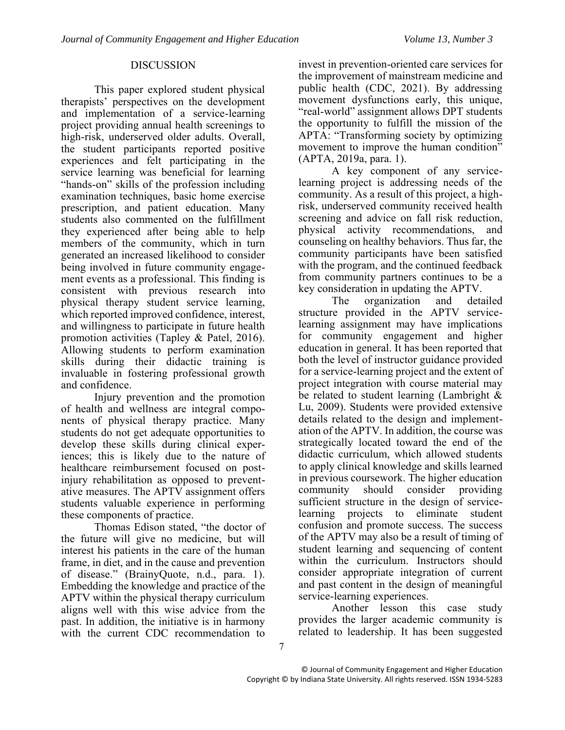#### DISCUSSION

This paper explored student physical therapists' perspectives on the development and implementation of a service-learning project providing annual health screenings to high-risk, underserved older adults. Overall, the student participants reported positive experiences and felt participating in the service learning was beneficial for learning "hands-on" skills of the profession including examination techniques, basic home exercise prescription, and patient education. Many students also commented on the fulfillment they experienced after being able to help members of the community, which in turn generated an increased likelihood to consider being involved in future community engagement events as a professional. This finding is consistent with previous research into physical therapy student service learning, which reported improved confidence, interest, and willingness to participate in future health promotion activities (Tapley & Patel, 2016). Allowing students to perform examination skills during their didactic training is invaluable in fostering professional growth and confidence.

Injury prevention and the promotion of health and wellness are integral components of physical therapy practice. Many students do not get adequate opportunities to develop these skills during clinical experiences; this is likely due to the nature of healthcare reimbursement focused on postinjury rehabilitation as opposed to preventative measures. The APTV assignment offers students valuable experience in performing these components of practice.

Thomas Edison stated, "the doctor of the future will give no medicine, but will interest his patients in the care of the human frame, in diet, and in the cause and prevention of disease." (BrainyQuote, n.d., para. 1). Embedding the knowledge and practice of the APTV within the physical therapy curriculum aligns well with this wise advice from the past. In addition, the initiative is in harmony with the current CDC recommendation to

invest in prevention-oriented care services for the improvement of mainstream medicine and public health (CDC, 2021). By addressing movement dysfunctions early, this unique, "real-world" assignment allows DPT students the opportunity to fulfill the mission of the APTA: "Transforming society by optimizing movement to improve the human condition" (APTA, 2019a, para. 1).

A key component of any servicelearning project is addressing needs of the community. As a result of this project, a highrisk, underserved community received health screening and advice on fall risk reduction, physical activity recommendations, and counseling on healthy behaviors. Thus far, the community participants have been satisfied with the program, and the continued feedback from community partners continues to be a key consideration in updating the APTV.

The organization and detailed structure provided in the APTV servicelearning assignment may have implications for community engagement and higher education in general. It has been reported that both the level of instructor guidance provided for a service-learning project and the extent of project integration with course material may be related to student learning (Lambright & Lu, 2009). Students were provided extensive details related to the design and implementation of the APTV. In addition, the course was strategically located toward the end of the didactic curriculum, which allowed students to apply clinical knowledge and skills learned in previous coursework. The higher education community should consider providing sufficient structure in the design of servicelearning projects to eliminate student confusion and promote success. The success of the APTV may also be a result of timing of student learning and sequencing of content within the curriculum. Instructors should consider appropriate integration of current and past content in the design of meaningful service-learning experiences.

Another lesson this case study provides the larger academic community is related to leadership. It has been suggested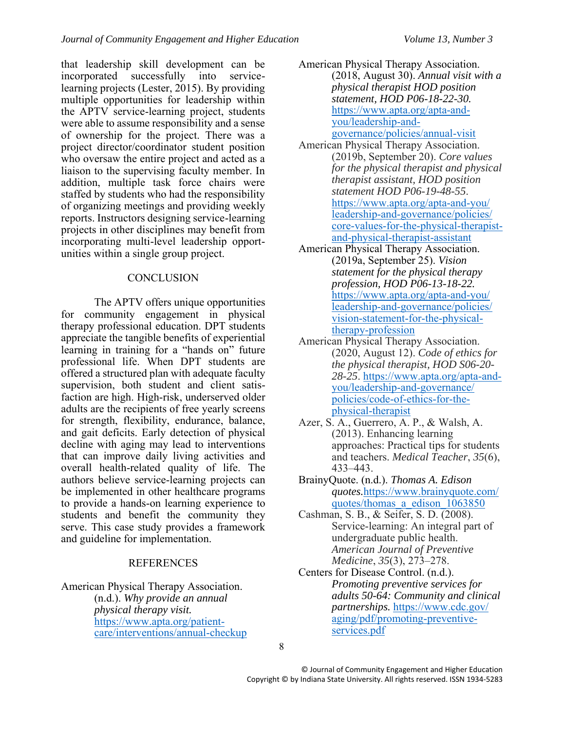that leadership skill development can be incorporated successfully into servicelearning projects (Lester, 2015). By providing multiple opportunities for leadership within the APTV service-learning project, students were able to assume responsibility and a sense of ownership for the project. There was a project director/coordinator student position who oversaw the entire project and acted as a liaison to the supervising faculty member. In addition, multiple task force chairs were staffed by students who had the responsibility of organizing meetings and providing weekly reports. Instructors designing service-learning projects in other disciplines may benefit from incorporating multi-level leadership opportunities within a single group project.

## **CONCLUSION**

The APTV offers unique opportunities for community engagement in physical therapy professional education. DPT students appreciate the tangible benefits of experiential learning in training for a "hands on" future professional life. When DPT students are offered a structured plan with adequate faculty supervision, both student and client satisfaction are high. High-risk, underserved older adults are the recipients of free yearly screens for strength, flexibility, endurance, balance, and gait deficits. Early detection of physical decline with aging may lead to interventions that can improve daily living activities and overall health-related quality of life. The authors believe service-learning projects can be implemented in other healthcare programs to provide a hands-on learning experience to students and benefit the community they serve. This case study provides a framework and guideline for implementation.

## REFERENCES

American Physical Therapy Association. (n.d.). *Why provide an annual physical therapy visit.* [https://www.apta.org/patient](https://www.apta.org/patient-care/interventions/annual-checkup)[care/interventions/annual-checkup](https://www.apta.org/patient-care/interventions/annual-checkup)

- American Physical Therapy Association. (2018, August 30). *Annual visit with a physical therapist HOD position statement, HOD P06-18-22-30.*  [https://www.apta.org/apta-and](https://www.apta.org/apta-and-you/leadership-and-governance/policies/annual-visit)[you/leadership-and](https://www.apta.org/apta-and-you/leadership-and-governance/policies/annual-visit)[governance/policies/annual-visit](https://www.apta.org/apta-and-you/leadership-and-governance/policies/annual-visit)
- American Physical Therapy Association. (2019b, September 20). *Core values for the physical therapist and physical therapist assistant, HOD position statement HOD P06-19-48-55*. [https://www.apta.org/apta-and-you/](https://www.apta.org/apta-and-you/%20leadership-and-governance/policies/%20core-values-for-the-physical-therapist-and-physical-therapist-assistant) [leadership-and-governance/policies/](https://www.apta.org/apta-and-you/%20leadership-and-governance/policies/%20core-values-for-the-physical-therapist-and-physical-therapist-assistant) [core-values-for-the-physical-therapist](https://www.apta.org/apta-and-you/%20leadership-and-governance/policies/%20core-values-for-the-physical-therapist-and-physical-therapist-assistant)[and-physical-therapist-assistant](https://www.apta.org/apta-and-you/%20leadership-and-governance/policies/%20core-values-for-the-physical-therapist-and-physical-therapist-assistant)
- American Physical Therapy Association. (2019a, September 25). *Vision statement for the physical therapy profession, HOD P06-13-18-22.* [https://www.apta.org/apta-and-you/](https://www.apta.org/apta-and-you/%20leadership-and-governance/policies/%20vision-statement-for-the-physical-therapy-profession) [leadership-and-governance/policies/](https://www.apta.org/apta-and-you/%20leadership-and-governance/policies/%20vision-statement-for-the-physical-therapy-profession) [vision-statement-for-the-physical](https://www.apta.org/apta-and-you/%20leadership-and-governance/policies/%20vision-statement-for-the-physical-therapy-profession)[therapy-profession](https://www.apta.org/apta-and-you/%20leadership-and-governance/policies/%20vision-statement-for-the-physical-therapy-profession)
- American Physical Therapy Association. (2020, August 12). *Code of ethics for the physical therapist, HOD S06-20- 28-25*. [https://www.apta.org/apta-and](https://www.apta.org/apta-and-you/leadership-and-governance/%20policies/code-of-ethics-for-the-physical-therapist)[you/leadership-and-governance/](https://www.apta.org/apta-and-you/leadership-and-governance/%20policies/code-of-ethics-for-the-physical-therapist) [policies/code-of-ethics-for-the](https://www.apta.org/apta-and-you/leadership-and-governance/%20policies/code-of-ethics-for-the-physical-therapist)[physical-therapist](https://www.apta.org/apta-and-you/leadership-and-governance/%20policies/code-of-ethics-for-the-physical-therapist)
- Azer, S. A., Guerrero, A. P., & Walsh, A. (2013). Enhancing learning approaches: Practical tips for students and teachers. *Medical Teacher*, *35*(6), 433–443.
- BrainyQuote. (n.d.). *Thomas A. Edison quotes.*[https://www.brainyquote.com/](https://www.brainyquote.com/quotes/thomas_a_edison_1063850) [quotes/thomas\\_a\\_edison\\_1063850](https://www.brainyquote.com/quotes/thomas_a_edison_1063850)
- Cashman, S. B., & Seifer, S. D. (2008). Service-learning: An integral part of undergraduate public health. *American Journal of Preventive Medicine*, *35*(3), 273–278.
- Centers for Disease Control. (n.d.). *Promoting preventive services for adults 50-64: Community and clinical partnerships.* [https://www.cdc.gov/](https://www.cdc.gov/%20aging/pdf/promoting-preventive-services.pdf) [aging/pdf/promoting-preventive](https://www.cdc.gov/%20aging/pdf/promoting-preventive-services.pdf)[services.pdf](https://www.cdc.gov/%20aging/pdf/promoting-preventive-services.pdf)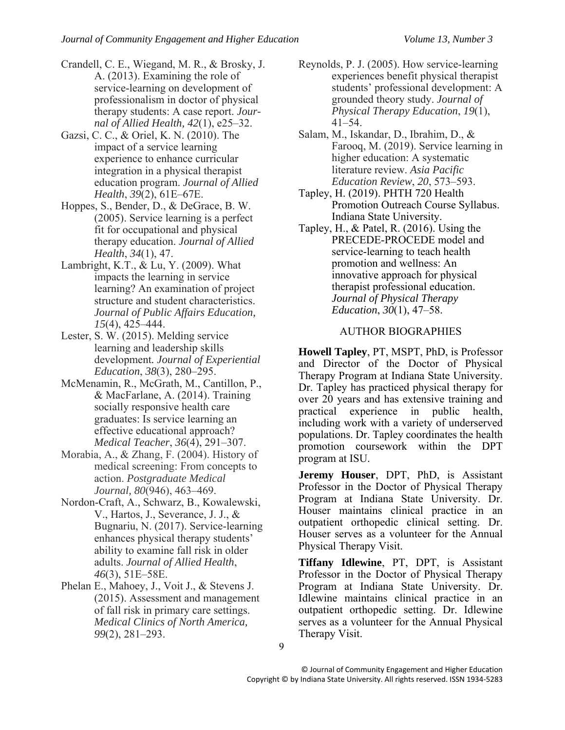- Crandell, C. E., Wiegand, M. R., & Brosky, J. A. (2013). Examining the role of service-learning on development of professionalism in doctor of physical therapy students: A case report. *Journal of Allied Health, 42*(1), e25–32.
- Gazsi, C. C., & Oriel, K. N. (2010). The impact of a service learning experience to enhance curricular integration in a physical therapist education program. *Journal of Allied Health*, *39*(2), 61E–67E.
- Hoppes, S., Bender, D., & DeGrace, B. W. (2005). Service learning is a perfect fit for occupational and physical therapy education. *Journal of Allied Health*, *34*(1), 47.
- Lambright, K.T., & Lu, Y. (2009). What impacts the learning in service learning? An examination of project structure and student characteristics. *Journal of Public Affairs Education, 15*(4), 425–444.
- Lester, S. W. (2015). Melding service learning and leadership skills development*. Journal of Experiential Education*, *38*(3), 280–295.
- McMenamin, R., McGrath, M., Cantillon, P., & MacFarlane, A. (2014). Training socially responsive health care graduates: Is service learning an effective educational approach? *Medical Teacher*, *36*(4), 291–307.
- Morabia, A., & Zhang, F. (2004). History of medical screening: From concepts to action. *Postgraduate Medical Journal, 80*(946), 463–469.
- Nordon-Craft, A., Schwarz, B., Kowalewski, V., Hartos, J., Severance, J. J., & Bugnariu, N. (2017). Service-learning enhances physical therapy students' ability to examine fall risk in older adults. *Journal of Allied Health*, *46*(3), 51E–58E.
- Phelan E., Mahoey, J., Voit J., & Stevens J. (2015). Assessment and management of fall risk in primary care settings. *Medical Clinics of North America, 99*(2), 281–293.
- Reynolds, P. J. (2005). How service-learning experiences benefit physical therapist students' professional development: A grounded theory study. *Journal of Physical Therapy Education*, *19*(1), 41–54.
- Salam, M., Iskandar, D., Ibrahim, D., & Farooq, M. (2019). Service learning in higher education: A systematic literature review. *Asia Pacific Education Review*, *20*, 573–593.
- Tapley, H. (2019). PHTH 720 Health Promotion Outreach Course Syllabus. Indiana State University.
- Tapley, H., & Patel, R. (2016). Using the PRECEDE-PROCEDE model and service-learning to teach health promotion and wellness: An innovative approach for physical therapist professional education. *Journal of Physical Therapy Education*, *30*(1), 47–58.

# AUTHOR BIOGRAPHIES

**Howell Tapley**, PT, MSPT, PhD, is Professor and Director of the Doctor of Physical Therapy Program at Indiana State University. Dr. Tapley has practiced physical therapy for over 20 years and has extensive training and practical experience in public health, including work with a variety of underserved populations. Dr. Tapley coordinates the health promotion coursework within the DPT program at ISU.

**Jeremy Houser**, DPT, PhD, is Assistant Professor in the Doctor of Physical Therapy Program at Indiana State University. Dr. Houser maintains clinical practice in an outpatient orthopedic clinical setting. Dr. Houser serves as a volunteer for the Annual Physical Therapy Visit.

**Tiffany Idlewine**, PT, DPT, is Assistant Professor in the Doctor of Physical Therapy Program at Indiana State University. Dr. Idlewine maintains clinical practice in an outpatient orthopedic setting. Dr. Idlewine serves as a volunteer for the Annual Physical Therapy Visit.